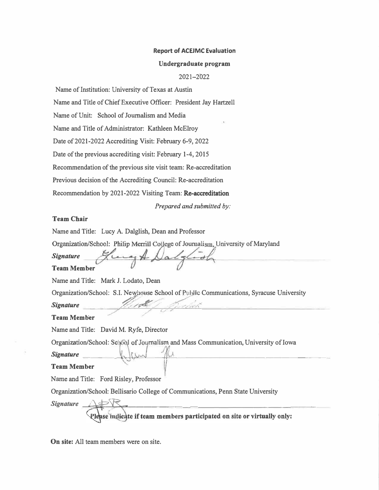#### **Report of ACEJMC Evaluation**

#### **Undergraduate program**

2021-2022

Name of Institution: University of Texas at Austin

Name and Title of Chief Executive Officer: President Jay Hartzell

Name of Unit: School of Journalism and Media

Name and Title of Administrator: Kathleen McElroy

Date of 2021-2022 Accrediting Visit: February 6-9, 2022

Date of the previous accrediting visit: February 1-4, 2015

Recommendation of the previous site visit team: Re-accreditation

Previous decision of the Accrediting Council: Re-accreditation

Recommendation by 2021-2022 Visiting Team: Re-accreditation

*Prepared and submitted by:*

### **Team Chair**

Name and Title: Lucy A. Dalglish, Dean and Professor

ilip Merrill College of Journalism, University of Maryland

*t. .*

*Signature* 

#### **Team Member**

Name and Title: Mark J. Lodato, Dean

Organization/School: S.I. Newhouse School of Public Communications, Syracuse University

 $S$ *ignature* 

**Team Memb'er**

Name and Title: David M. Ryfe, Director

Organization/School: School of Journalism and Mass Communication, University of Iowa

 $Signature$   $\downarrow$   $\downarrow$   $\downarrow$   $\downarrow$   $\downarrow$   $\downarrow$ 

#### **Team Member**

Name and Title: Ford Risley, Professor

Organization/School: Bellisario College of Communications, Penn State University

*Signature* --'=:::ii=lil::----'!--'-.=r------------------------� lease indicate if team members participated on site or virtually only:

**On site:** All team members were on site.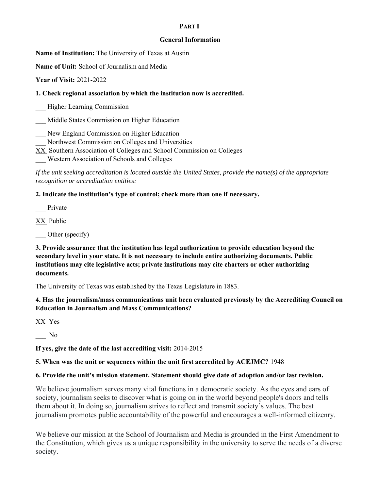#### **PART I**

#### **General Information**

**Name of Institution:** The University of Texas at Austin

**Name of Unit:** School of Journalism and Media

**Year of Visit:** 2021-2022

**1. Check regional association by which the institution now is accredited.**

\_\_\_ Higher Learning Commission

\_\_\_ Middle States Commission on Higher Education

\_\_\_ New England Commission on Higher Education

\_\_\_ Northwest Commission on Colleges and Universities

XX Southern Association of Colleges and School Commission on Colleges

\_\_\_ Western Association of Schools and Colleges

*If the unit seeking accreditation is located outside the United States, provide the name(s) of the appropriate recognition or accreditation entities:* 

**2. Indicate the institution's type of control; check more than one if necessary.**

Private

XX Public

Other (specify)

### **3. Provide assurance that the institution has legal authorization to provide education beyond the secondary level in your state. It is not necessary to include entire authorizing documents. Public institutions may cite legislative acts; private institutions may cite charters or other authorizing documents.**

The University of Texas was established by the Texas Legislature in 1883.

### **4. Has the journalism/mass communications unit been evaluated previously by the Accrediting Council on Education in Journalism and Mass Communications?**

XX Yes

 $\overline{\phantom{0}}$  No

**If yes, give the date of the last accrediting visit:** 2014-2015

### **5. When was the unit or sequences within the unit first accredited by ACEJMC?** 1948

### **6. Provide the unit's mission statement. Statement should give date of adoption and/or last revision.**

We believe journalism serves many vital functions in a democratic society. As the eyes and ears of society, journalism seeks to discover what is going on in the world beyond people's doors and tells them about it. In doing so, journalism strives to reflect and transmit society's values. The best journalism promotes public accountability of the powerful and encourages a well-informed citizenry.

We believe our mission at the School of Journalism and Media is grounded in the First Amendment to the Constitution, which gives us a unique responsibility in the university to serve the needs of a diverse society.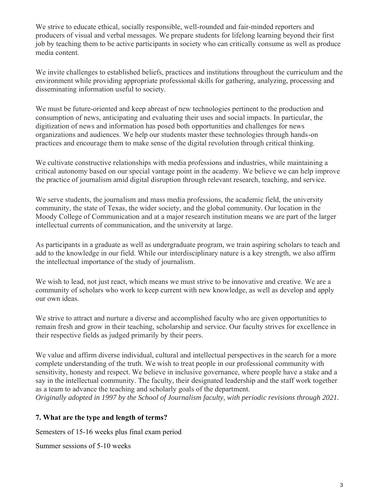We strive to educate ethical, socially responsible, well-rounded and fair-minded reporters and producers of visual and verbal messages. We prepare students for lifelong learning beyond their first job by teaching them to be active participants in society who can critically consume as well as produce media content.

We invite challenges to established beliefs, practices and institutions throughout the curriculum and the environment while providing appropriate professional skills for gathering, analyzing, processing and disseminating information useful to society.

We must be future-oriented and keep abreast of new technologies pertinent to the production and consumption of news, anticipating and evaluating their uses and social impacts. In particular, the digitization of news and information has posed both opportunities and challenges for news organizations and audiences. We help our students master these technologies through hands-on practices and encourage them to make sense of the digital revolution through critical thinking.

We cultivate constructive relationships with media professions and industries, while maintaining a critical autonomy based on our special vantage point in the academy. We believe we can help improve the practice of journalism amid digital disruption through relevant research, teaching, and service.

We serve students, the journalism and mass media professions, the academic field, the university community, the state of Texas, the wider society, and the global community. Our location in the Moody College of Communication and at a major research institution means we are part of the larger intellectual currents of communication, and the university at large.

As participants in a graduate as well as undergraduate program, we train aspiring scholars to teach and add to the knowledge in our field. While our interdisciplinary nature is a key strength, we also affirm the intellectual importance of the study of journalism.

We wish to lead, not just react, which means we must strive to be innovative and creative. We are a community of scholars who work to keep current with new knowledge, as well as develop and apply our own ideas.

We strive to attract and nurture a diverse and accomplished faculty who are given opportunities to remain fresh and grow in their teaching, scholarship and service. Our faculty strives for excellence in their respective fields as judged primarily by their peers.

We value and affirm diverse individual, cultural and intellectual perspectives in the search for a more complete understanding of the truth. We wish to treat people in our professional community with sensitivity, honesty and respect. We believe in inclusive governance, where people have a stake and a say in the intellectual community. The faculty, their designated leadership and the staff work together as a team to advance the teaching and scholarly goals of the department.

*Originally adopted in 1997 by the School of Journalism faculty, with periodic revisions through 2021.*

## **7. What are the type and length of terms?**

Semesters of 15-16 weeks plus final exam period

Summer sessions of 5-10 weeks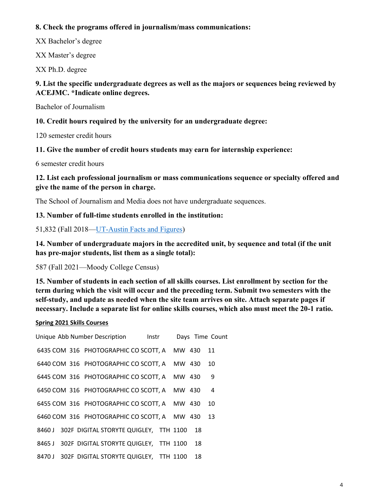## **8. Check the programs offered in journalism/mass communications:**

XX Bachelor's degree

XX Master's degree

XX Ph.D. degree

## **9. List the specific undergraduate degrees as well as the majors or sequences being reviewed by ACEJMC. \*Indicate online degrees.**

Bachelor of Journalism

## **10. Credit hours required by the university for an undergraduate degree:**

120 semester credit hours

## **11. Give the number of credit hours students may earn for internship experience:**

6 semester credit hours

## **12. List each professional journalism or mass communications sequence or specialty offered and give the name of the person in charge.**

The School of Journalism and Media does not have undergraduate sequences.

## **13. Number of full-time students enrolled in the institution:**

51,832 (Fall 2018[—UT-Austin Facts and Figures\)](https://www.utexas.edu/about/facts-and-figures)

**14. Number of undergraduate majors in the accredited unit, by sequence and total (if the unit has pre-major students, list them as a single total):** 

587 (Fall 2021—Moody College Census)

**15. Number of students in each section of all skills courses. List enrollment by section for the term during which the visit will occur and the preceding term. Submit two semesters with the self-study, and update as needed when the site team arrives on site. Attach separate pages if necessary. Include a separate list for online skills courses, which also must meet the 20-1 ratio.** 

## **Spring 2021 Skills Courses**

| Unique Abb Number Description lnstr           |        |    | Days Time Count |
|-----------------------------------------------|--------|----|-----------------|
| 6435 COM 316 PHOTOGRAPHIC CO SCOTT, A MW 430  |        |    | 11              |
| 6440 COM 316 PHOTOGRAPHIC CO SCOTT, A MW 430  |        |    | 10              |
| 6445 COM 316 PHOTOGRAPHIC CO SCOTT, A         | MW 430 |    | 9               |
| 6450 COM 316 PHOTOGRAPHIC CO SCOTT, A         | MW 430 |    | $\overline{4}$  |
| 6455 COM 316 PHOTOGRAPHIC CO SCOTT, A MW 430  |        |    | 10              |
| 6460 COM 316 PHOTOGRAPHIC CO SCOTT, A MW 430  |        |    | 13              |
| 8460 J 302F DIGITAL STORYTE QUIGLEY, TTH 1100 |        | 18 |                 |
| 8465 J 302F DIGITAL STORYTE QUIGLEY, TTH 1100 |        | 18 |                 |
| 8470 J 302F DIGITAL STORYTE QUIGLEY, TTH 1100 |        | 18 |                 |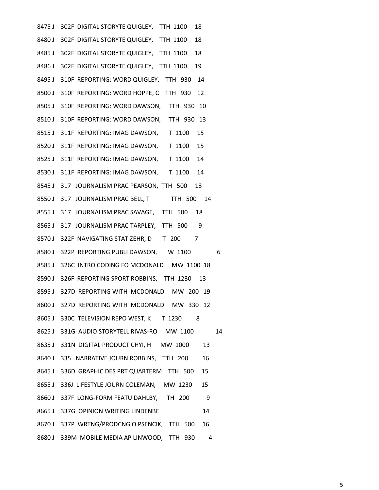| 8475 J 302F DIGITAL STORYTE QUIGLEY, TTH 1100<br>18 |
|-----------------------------------------------------|
| 8480 J 302F DIGITAL STORYTE QUIGLEY, TTH 1100<br>18 |
| 8485 J 302F DIGITAL STORYTE QUIGLEY, TTH 1100<br>18 |
| 8486 J 302F DIGITAL STORYTE QUIGLEY, TTH 1100<br>19 |
| 8495 J 310F REPORTING: WORD QUIGLEY, TTH 930 14     |
| 8500 J 310F REPORTING: WORD HOPPE, C TTH 930 12     |
| 8505 J 310F REPORTING: WORD DAWSON, TTH 930 10      |
| 8510 J 310F REPORTING: WORD DAWSON, TTH 930 13      |
| 8515 J 311F REPORTING: IMAG DAWSON, T 1100<br>15    |
| 8520 J 311F REPORTING: IMAG DAWSON, T 1100<br>15    |
| 8525 J 311F REPORTING: IMAG DAWSON, T 1100 14       |
| 8530 J 311F REPORTING: IMAG DAWSON, T 1100 14       |
| 8545 J 317 JOURNALISM PRAC PEARSON, TTH 500 18      |
| 8550 J 317 JOURNALISM PRAC BELL, T TTH 500 14       |
| 8555 J 317 JOURNALISM PRAC SAVAGE, TTH 500 18       |
| 8565 J 317 JOURNALISM PRAC TARPLEY, TTH 500 9       |
| 8570 J 322F NAVIGATING STAT ZEHR, D T 200 7         |
| 8580 J 322P REPORTING PUBLI DAWSON, W 1100<br>6     |
| 8585 J 326C INTRO CODING FO MCDONALD MW 1100 18     |
| 8590 J 326F REPORTING SPORT ROBBINS, TTH 1230 13    |
| 8595 J 327D REPORTING WITH MCDONALD MW 200 19       |
| 8600 J 327D REPORTING WITH MCDONALD MW 330 12       |
| 8605 J 330C TELEVISION REPO WEST, K T 1230<br>8     |
| 8625 J 331G AUDIO STORYTELL RIVAS-RO MW 1100<br>14  |
| 8635 J 331N DIGITAL PRODUCT CHYI, H MW 1000<br>13   |
| 8640 J 335 NARRATIVE JOURN ROBBINS, TTH 200<br>16   |
| 8645 J 336D GRAPHIC DES PRT QUARTERM TTH 500<br>15  |
| 15<br>8655 J 336J LIFESTYLE JOURN COLEMAN, MW 1230  |
| 8660 J 337F LONG-FORM FEATU DAHLBY, TH 200<br>- 9   |
| 8665 J 337G OPINION WRITING LINDENBE<br>14          |
| 8670 J 337P WRTNG/PRODCNG O PSENCIK, TTH 500<br>16  |
| 8680 J 339M MOBILE MEDIA AP LINWOOD, TTH 930<br>4   |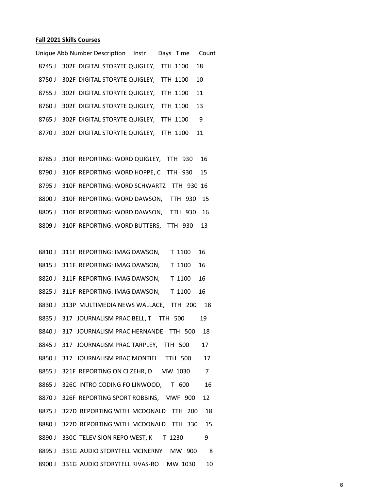### **Fall 2021 Skills Courses**

|        | Unique Abb Number Description Instr              |  | Days Time Count |
|--------|--------------------------------------------------|--|-----------------|
|        | 8745 J 302F DIGITAL STORYTE QUIGLEY, TTH 1100    |  | -18             |
|        | 8750 J 302F DIGITAL STORYTE QUIGLEY, TTH 1100    |  | 10              |
|        | 8755 J 302F DIGITAL STORYTE QUIGLEY, TTH 1100 11 |  |                 |
|        | 8760 J 302F DIGITAL STORYTE QUIGLEY, TTH 1100    |  | 13              |
|        | 8765 J 302F DIGITAL STORYTE QUIGLEY, TTH 1100    |  | 9               |
| 8770 J | 302F DIGITAL STORYTE QUIGLEY, TTH 1100           |  | -11             |
|        |                                                  |  |                 |

|  | 8785 J 310F REPORTING: WORD QUIGLEY, TTH 930    |  |  | 16 |
|--|-------------------------------------------------|--|--|----|
|  | 8790 J 310F REPORTING: WORD HOPPE, C TTH 930    |  |  | 15 |
|  | 8795 J 310F REPORTING: WORD SCHWARTZ TTH 930 16 |  |  |    |
|  | 8800 J 310F REPORTING: WORD DAWSON, TTH 930 15  |  |  |    |
|  | 8805 J 310F REPORTING: WORD DAWSON, TTH 930     |  |  | 16 |
|  | 8809 J 310F REPORTING: WORD BUTTERS, TTH 930 13 |  |  |    |

|        | 8810 J 311F REPORTING: IMAG DAWSON,<br>T 1100<br>16   |
|--------|-------------------------------------------------------|
|        | 8815 J 311F REPORTING: IMAG DAWSON,<br>T 1100<br>16   |
| 8820 J | 311F REPORTING: IMAG DAWSON,<br>T 1100<br>16          |
| 8825 J | 311F REPORTING: IMAG DAWSON,<br>T 1100<br>16          |
| 8830 J | 313P MULTIMEDIA NEWS WALLACE, TTH 200<br>18           |
| 8835 J | 317 JOURNALISM PRAC BELL, T TTH 500<br>19             |
| 8840 J | 317 JOURNALISM PRAC HERNANDE TTH 500<br>18            |
| 8845 J | 317 JOURNALISM PRAC TARPLEY, TTH 500<br>17            |
| 8850 J | 317 JOURNALISM PRAC MONTIEL TTH 500<br>17             |
| 8855 J | $\overline{7}$<br>321F REPORTING ON CIZEHR, D MW 1030 |
| 8865 J | 326C INTRO CODING FO LINWOOD, T 600<br>16             |
| 8870 J | 326F REPORTING SPORT ROBBINS, MWF 900<br>12           |
| 8875J  | 327D REPORTING WITH MCDONALD TTH 200<br>18            |
| 8880J  | 327D REPORTING WITH MCDONALD TTH 330<br>15            |
| 8890 J | 330C TELEVISION REPO WEST, K T 1230<br>9              |
| 8895 J | 331G AUDIO STORYTELL MCINERNY MW 900<br>8             |
| 8900 J | 331G AUDIO STORYTELL RIVAS-RO<br>MW 1030<br>10        |
|        |                                                       |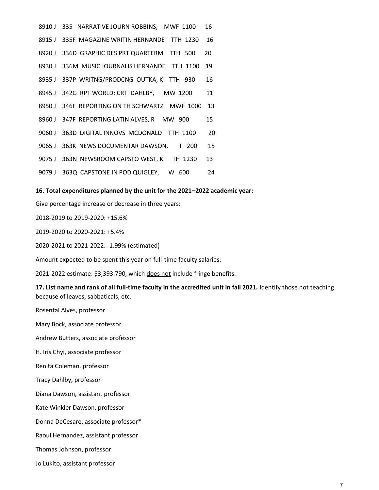|        | 8910 J 335 NARRATIVE JOURN ROBBINS, MWF 1100  | 16 |
|--------|-----------------------------------------------|----|
|        | 8915 J 335F MAGAZINE WRITIN HERNANDE TTH 1230 | 16 |
| 8920 J | 336D GRAPHIC DES PRT QUARTERM TTH 500         | 20 |
|        | 8930 J 336M MUSIC JOURNALIS HERNANDE TTH 1100 | 19 |
|        | 8935 J 337P WRITNG/PRODCNG OUTKA, K TTH 930   | 16 |
|        | 8945 J 342G RPT WORLD: CRT DAHLBY, MW 1200    | 11 |
| 8950 J | 346F REPORTING ON TH SCHWARTZ MWF 1000        | 13 |
| 8960 J | 347F REPORTING LATIN ALVES, R MW 900          | 15 |
| 9060 J | 363D DIGITAL INNOVS MCDONALD TTH 1100         | 20 |
|        | 9065 J 363K NEWS DOCUMENTAR DAWSON, T 200     | 15 |
| 9075 J | 363N NEWSROOM CAPSTO WEST, K TH 1230          | 13 |
| 9079 J | 363Q CAPSTONE IN POD QUIGLEY, W 600           | 24 |

#### **16. Total expenditures planned by the unit for the 2021–2022 academic year:**

Give percentage increase or decrease in three years:

2018-2019 to 2019-2020: +15.6%

2019-2020 to 2020-2021: +5.4%

2020-2021 to 2021-2022: -1.99% (estimated)

Amount expected to be spent this year on full-time faculty salaries:

2021-2022 estimate: \$3,393.790, which does not include fringe benefits.

**17. List name and rank of all full-time faculty in the accredited unit in fall 2021.** Identify those not teaching because of leaves, sabbaticals, etc.

Rosental Alves, professor

Mary Bock, associate professor

Andrew Butters, associate professor

H. Iris Chyi, associate professor

Renita Coleman, professor

Tracy Dahlby, professor

Diana Dawson, assistant professor

Kate Winkler Dawson, professor

Donna DeCesare, associate professor\*

Raoul Hernandez, assistant professor

Thomas Johnson, professor

Jo Lukito, assistant professor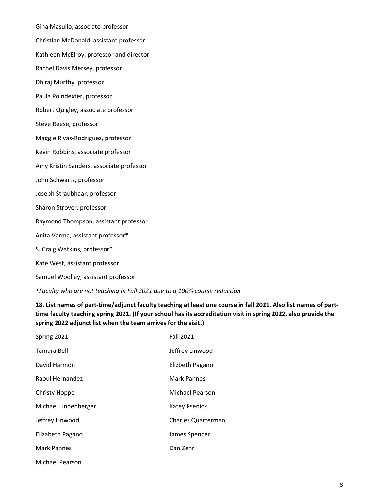Gina Masullo, associate professor Christian McDonald, assistant professor Kathleen McElroy, professor and director Rachel Davis Mersey, professor Dhiraj Murthy, professor Paula Poindexter, professor Robert Quigley, associate professor Steve Reese, professor Maggie Rivas-Rodriguez, professor Kevin Robbins, associate professor Amy Kristin Sanders, associate professor John Schwartz, professor Joseph Straubhaar, professor Sharon Strover, professor Raymond Thompson, assistant professor Anita Varma, assistant professor\* S. Craig Watkins, professor\* Kate West, assistant professor Samuel Woolley, assistant professor

*\*Faculty who are not teaching in Fall 2021 due to a 100% course reduction*

**18. List names of part-time/adjunct faculty teaching at least one course in fall 2021. Also list names of parttime faculty teaching spring 2021. (If your school has its accreditation visit in spring 2022, also provide the spring 2022 adjunct list when the team arrives for the visit.)**

| Spring 2021          | <b>Fall 2021</b>          |
|----------------------|---------------------------|
| Tamara Bell          | Jeffrey Linwood           |
| David Harmon         | Elizbeth Pagano           |
| Raoul Hernandez      | Mark Pannes               |
| Christy Hoppe        | Michael Pearson           |
| Michael Lindenberger | Katey Psenick             |
| Jeffrey Linwood      | <b>Charles Quarterman</b> |
| Elizabeth Pagano     | James Spencer             |
| Mark Pannes          | Dan Zehr                  |
|                      |                           |

Michael Pearson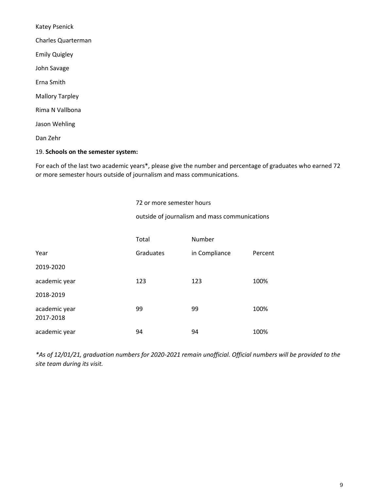Katey Psenick Charles Quarterman Emily Quigley John Savage Erna Smith Mallory Tarpley Rima N Vallbona Jason Wehling Dan Zehr

#### 19. **Schools on the semester system:**

For each of the last two academic years\*, please give the number and percentage of graduates who earned 72 or more semester hours outside of journalism and mass communications.

72 or more semester hours

outside of journalism and mass communications

|                            | Total     | Number        |         |
|----------------------------|-----------|---------------|---------|
| Year                       | Graduates | in Compliance | Percent |
| 2019-2020                  |           |               |         |
| academic year              | 123       | 123           | 100%    |
| 2018-2019                  |           |               |         |
| academic year<br>2017-2018 | 99        | 99            | 100%    |
| academic year              | 94        | 94            | 100%    |

*\*As of 12/01/21, graduation numbers for 2020-2021 remain unofficial. Official numbers will be provided to the site team during its visit.*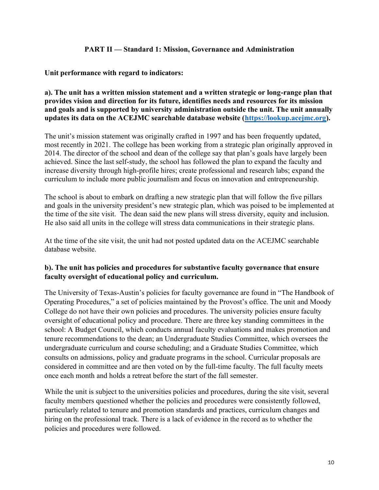### **PART II — Standard 1: Mission, Governance and Administration**

### **Unit performance with regard to indicators:**

### **a). The unit has a written mission statement and a written strategic or long-range plan that provides vision and direction for its future, identifies needs and resources for its mission and goals and is supported by university administration outside the unit. The unit annually updates its data on the ACEJMC searchable database website [\(https://lookup.acejmc.org\)](https://lookup.acejmc.org/).**

The unit's mission statement was originally crafted in 1997 and has been frequently updated, most recently in 2021. The college has been working from a strategic plan originally approved in 2014. The director of the school and dean of the college say that plan's goals have largely been achieved. Since the last self-study, the school has followed the plan to expand the faculty and increase diversity through high-profile hires; create professional and research labs; expand the curriculum to include more public journalism and focus on innovation and entrepreneurship.

The school is about to embark on drafting a new strategic plan that will follow the five pillars and goals in the university president's new strategic plan, which was poised to be implemented at the time of the site visit. The dean said the new plans will stress diversity, equity and inclusion. He also said all units in the college will stress data communications in their strategic plans.

At the time of the site visit, the unit had not posted updated data on the ACEJMC searchable database website.

## **b). The unit has policies and procedures for substantive faculty governance that ensure faculty oversight of educational policy and curriculum.**

The University of Texas-Austin's policies for faculty governance are found in "The Handbook of Operating Procedures," a set of policies maintained by the Provost's office. The unit and Moody College do not have their own policies and procedures. The university policies ensure faculty oversight of educational policy and procedure. There are three key standing committees in the school: A Budget Council, which conducts annual faculty evaluations and makes promotion and tenure recommendations to the dean; an Undergraduate Studies Committee, which oversees the undergraduate curriculum and course scheduling; and a Graduate Studies Committee, which consults on admissions, policy and graduate programs in the school. Curricular proposals are considered in committee and are then voted on by the full-time faculty. The full faculty meets once each month and holds a retreat before the start of the fall semester.

While the unit is subject to the universities policies and procedures, during the site visit, several faculty members questioned whether the policies and procedures were consistently followed, particularly related to tenure and promotion standards and practices, curriculum changes and hiring on the professional track. There is a lack of evidence in the record as to whether the policies and procedures were followed.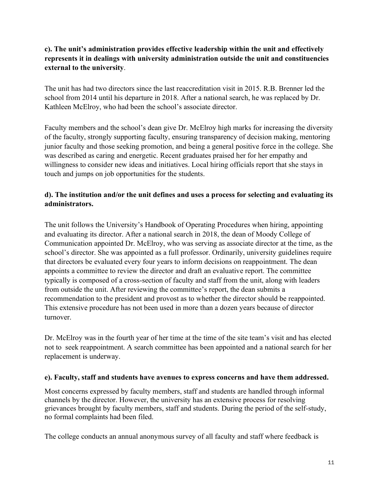## **c). The unit's administration provides effective leadership within the unit and effectively represents it in dealings with university administration outside the unit and constituencies external to the university**.

The unit has had two directors since the last reaccreditation visit in 2015. R.B. Brenner led the school from 2014 until his departure in 2018. After a national search, he was replaced by Dr. Kathleen McElroy, who had been the school's associate director.

Faculty members and the school's dean give Dr. McElroy high marks for increasing the diversity of the faculty, strongly supporting faculty, ensuring transparency of decision making, mentoring junior faculty and those seeking promotion, and being a general positive force in the college. She was described as caring and energetic. Recent graduates praised her for her empathy and willingness to consider new ideas and initiatives. Local hiring officials report that she stays in touch and jumps on job opportunities for the students.

# **d). The institution and/or the unit defines and uses a process for selecting and evaluating its administrators.**

The unit follows the University's Handbook of Operating Procedures when hiring, appointing and evaluating its director. After a national search in 2018, the dean of Moody College of Communication appointed Dr. McElroy, who was serving as associate director at the time, as the school's director. She was appointed as a full professor. Ordinarily, university guidelines require that directors be evaluated every four years to inform decisions on reappointment. The dean appoints a committee to review the director and draft an evaluative report. The committee typically is composed of a cross-section of faculty and staff from the unit, along with leaders from outside the unit. After reviewing the committee's report, the dean submits a recommendation to the president and provost as to whether the director should be reappointed. This extensive procedure has not been used in more than a dozen years because of director turnover.

Dr. McElroy was in the fourth year of her time at the time of the site team's visit and has elected not to seek reappointment. A search committee has been appointed and a national search for her replacement is underway.

## **e). Faculty, staff and students have avenues to express concerns and have them addressed.**

Most concerns expressed by faculty members, staff and students are handled through informal channels by the director. However, the university has an extensive process for resolving grievances brought by faculty members, staff and students. During the period of the self-study, no formal complaints had been filed.

The college conducts an annual anonymous survey of all faculty and staff where feedback is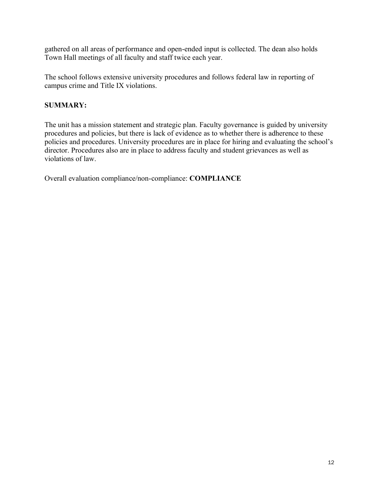gathered on all areas of performance and open-ended input is collected. The dean also holds Town Hall meetings of all faculty and staff twice each year.

The school follows extensive university procedures and follows federal law in reporting of campus crime and Title IX violations.

## **SUMMARY:**

The unit has a mission statement and strategic plan. Faculty governance is guided by university procedures and policies, but there is lack of evidence as to whether there is adherence to these policies and procedures. University procedures are in place for hiring and evaluating the school's director. Procedures also are in place to address faculty and student grievances as well as violations of law.

Overall evaluation compliance/non-compliance: **COMPLIANCE**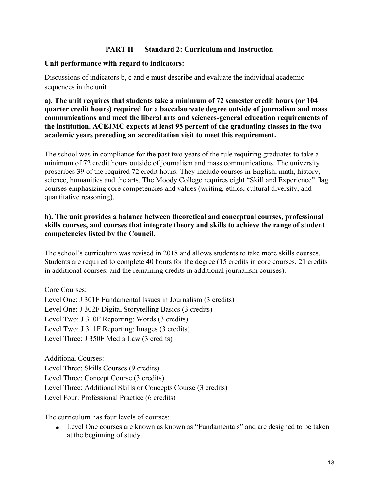### **PART II — Standard 2: Curriculum and Instruction**

### **Unit performance with regard to indicators:**

Discussions of indicators b, c and e must describe and evaluate the individual academic sequences in the unit.

**a). The unit requires that students take a minimum of 72 semester credit hours (or 104 quarter credit hours) required for a baccalaureate degree outside of journalism and mass communications and meet the liberal arts and sciences-general education requirements of the institution. ACEJMC expects at least 95 percent of the graduating classes in the two academic years preceding an accreditation visit to meet this requirement.**

The school was in compliance for the past two years of the rule requiring graduates to take a minimum of 72 credit hours outside of journalism and mass communications. The university proscribes 39 of the required 72 credit hours. They include courses in English, math, history, science, humanities and the arts. The Moody College requires eight "Skill and Experience" flag courses emphasizing core competencies and values (writing, ethics, cultural diversity, and quantitative reasoning).

## **b). The unit provides a balance between theoretical and conceptual courses, professional skills courses, and courses that integrate theory and skills to achieve the range of student competencies listed by the Council.**

The school's curriculum was revised in 2018 and allows students to take more skills courses. Students are required to complete 40 hours for the degree (15 credits in core courses, 21 credits in additional courses, and the remaining credits in additional journalism courses).

Core Courses: Level One: J 301F Fundamental Issues in Journalism (3 credits) Level One: J 302F Digital Storytelling Basics (3 credits) Level Two: J 310F Reporting: Words (3 credits) Level Two: J 311F Reporting: Images (3 credits) Level Three: J 350F Media Law (3 credits)

Additional Courses: Level Three: Skills Courses (9 credits) Level Three: Concept Course (3 credits) Level Three: Additional Skills or Concepts Course (3 credits) Level Four: Professional Practice (6 credits)

The curriculum has four levels of courses:

• Level One courses are known as known as "Fundamentals" and are designed to be taken at the beginning of study.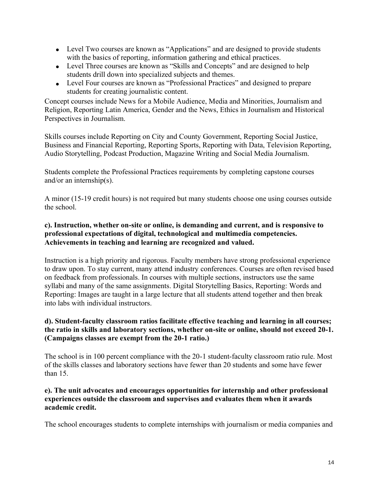- Level Two courses are known as "Applications" and are designed to provide students with the basics of reporting, information gathering and ethical practices.
- Level Three courses are known as "Skills and Concepts" and are designed to help students drill down into specialized subjects and themes.
- Level Four courses are known as "Professional Practices" and designed to prepare students for creating journalistic content.

Concept courses include News for a Mobile Audience, Media and Minorities, Journalism and Religion, Reporting Latin America, Gender and the News, Ethics in Journalism and Historical Perspectives in Journalism.

Skills courses include Reporting on City and County Government, Reporting Social Justice, Business and Financial Reporting, Reporting Sports, Reporting with Data, Television Reporting, Audio Storytelling, Podcast Production, Magazine Writing and Social Media Journalism.

Students complete the Professional Practices requirements by completing capstone courses and/or an internship(s).

A minor (15-19 credit hours) is not required but many students choose one using courses outside the school.

## **c). Instruction, whether on-site or online, is demanding and current, and is responsive to professional expectations of digital, technological and multimedia competencies. Achievements in teaching and learning are recognized and valued.**

Instruction is a high priority and rigorous. Faculty members have strong professional experience to draw upon. To stay current, many attend industry conferences. Courses are often revised based on feedback from professionals. In courses with multiple sections, instructors use the same syllabi and many of the same assignments. Digital Storytelling Basics, Reporting: Words and Reporting: Images are taught in a large lecture that all students attend together and then break into labs with individual instructors.

## **d). Student-faculty classroom ratios facilitate effective teaching and learning in all courses; the ratio in skills and laboratory sections, whether on-site or online, should not exceed 20-1. (Campaigns classes are exempt from the 20-1 ratio.)**

The school is in 100 percent compliance with the 20-1 student-faculty classroom ratio rule. Most of the skills classes and laboratory sections have fewer than 20 students and some have fewer than 15.

### **e). The unit advocates and encourages opportunities for internship and other professional experiences outside the classroom and supervises and evaluates them when it awards academic credit.**

The school encourages students to complete internships with journalism or media companies and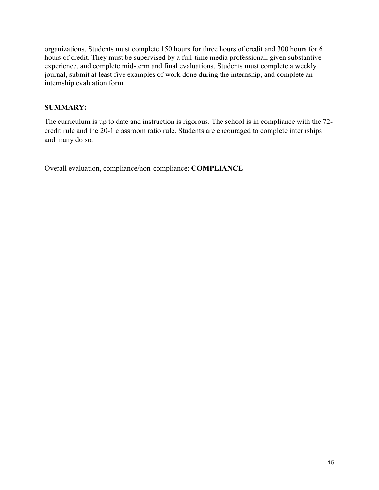organizations. Students must complete 150 hours for three hours of credit and 300 hours for 6 hours of credit. They must be supervised by a full-time media professional, given substantive experience, and complete mid-term and final evaluations. Students must complete a weekly journal, submit at least five examples of work done during the internship, and complete an internship evaluation form.

## **SUMMARY:**

The curriculum is up to date and instruction is rigorous. The school is in compliance with the 72 credit rule and the 20-1 classroom ratio rule. Students are encouraged to complete internships and many do so.

Overall evaluation, compliance/non-compliance: **COMPLIANCE**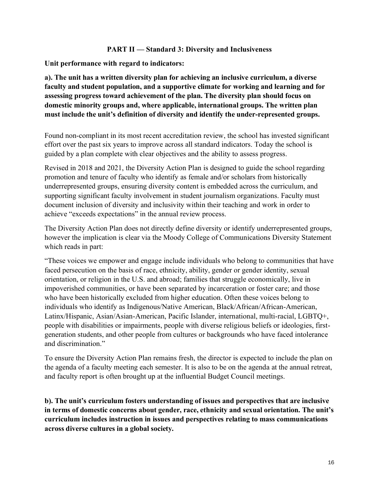### **PART II — Standard 3: Diversity and Inclusiveness**

**Unit performance with regard to indicators:**

**a). The unit has a written diversity plan for achieving an inclusive curriculum, a diverse faculty and student population, and a supportive climate for working and learning and for assessing progress toward achievement of the plan. The diversity plan should focus on domestic minority groups and, where applicable, international groups. The written plan must include the unit's definition of diversity and identify the under-represented groups.**

Found non-compliant in its most recent accreditation review, the school has invested significant effort over the past six years to improve across all standard indicators. Today the school is guided by a plan complete with clear objectives and the ability to assess progress.

Revised in 2018 and 2021, the Diversity Action Plan is designed to guide the school regarding promotion and tenure of faculty who identify as female and/or scholars from historically underrepresented groups, ensuring diversity content is embedded across the curriculum, and supporting significant faculty involvement in student journalism organizations. Faculty must document inclusion of diversity and inclusivity within their teaching and work in order to achieve "exceeds expectations" in the annual review process.

The Diversity Action Plan does not directly define diversity or identify underrepresented groups, however the implication is clear via the Moody College of Communications Diversity Statement which reads in part:

"These voices we empower and engage include individuals who belong to communities that have faced persecution on the basis of race, ethnicity, ability, gender or gender identity, sexual orientation, or religion in the U.S. and abroad; families that struggle economically, live in impoverished communities, or have been separated by incarceration or foster care; and those who have been historically excluded from higher education. Often these voices belong to individuals who identify as Indigenous/Native American, Black/African/African-American, Latinx/Hispanic, Asian/Asian-American, Pacific Islander, international, multi-racial, LGBTQ+, people with disabilities or impairments, people with diverse religious beliefs or ideologies, firstgeneration students, and other people from cultures or backgrounds who have faced intolerance and discrimination."

To ensure the Diversity Action Plan remains fresh, the director is expected to include the plan on the agenda of a faculty meeting each semester. It is also to be on the agenda at the annual retreat, and faculty report is often brought up at the influential Budget Council meetings.

**b). The unit's curriculum fosters understanding of issues and perspectives that are inclusive in terms of domestic concerns about gender, race, ethnicity and sexual orientation. The unit's curriculum includes instruction in issues and perspectives relating to mass communications across diverse cultures in a global society.**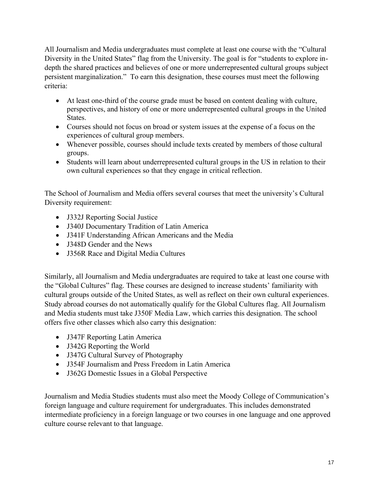All Journalism and Media undergraduates must complete at least one course with the "Cultural Diversity in the United States" flag from the University. The goal is for "students to explore indepth the shared practices and believes of one or more underrepresented cultural groups subject persistent marginalization." To earn this designation, these courses must meet the following criteria:

- At least one-third of the course grade must be based on content dealing with culture, perspectives, and history of one or more underrepresented cultural groups in the United **States**.
- Courses should not focus on broad or system issues at the expense of a focus on the experiences of cultural group members.
- Whenever possible, courses should include texts created by members of those cultural groups.
- Students will learn about underrepresented cultural groups in the US in relation to their own cultural experiences so that they engage in critical reflection.

The School of Journalism and Media offers several courses that meet the university's Cultural Diversity requirement:

- J332J Reporting Social Justice
- J340J Documentary Tradition of Latin America
- J341F Understanding African Americans and the Media
- J348D Gender and the News
- J356R Race and Digital Media Cultures

Similarly, all Journalism and Media undergraduates are required to take at least one course with the "Global Cultures" flag. These courses are designed to increase students' familiarity with cultural groups outside of the United States, as well as reflect on their own cultural experiences. Study abroad courses do not automatically qualify for the Global Cultures flag. All Journalism and Media students must take J350F Media Law, which carries this designation. The school offers five other classes which also carry this designation:

- J347F Reporting Latin America
- J342G Reporting the World
- J347G Cultural Survey of Photography
- J354F Journalism and Press Freedom in Latin America
- J362G Domestic Issues in a Global Perspective

Journalism and Media Studies students must also meet the Moody College of Communication's foreign language and culture requirement for undergraduates. This includes demonstrated intermediate proficiency in a foreign language or two courses in one language and one approved culture course relevant to that language.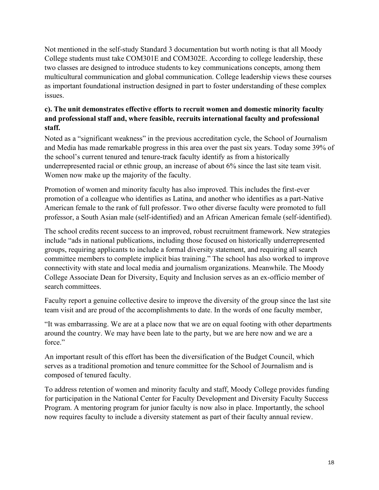Not mentioned in the self-study Standard 3 documentation but worth noting is that all Moody College students must take COM301E and COM302E. According to college leadership, these two classes are designed to introduce students to key communications concepts, among them multicultural communication and global communication. College leadership views these courses as important foundational instruction designed in part to foster understanding of these complex issues.

# **c). The unit demonstrates effective efforts to recruit women and domestic minority faculty and professional staff and, where feasible, recruits international faculty and professional staff.**

Noted as a "significant weakness" in the previous accreditation cycle, the School of Journalism and Media has made remarkable progress in this area over the past six years. Today some 39% of the school's current tenured and tenure-track faculty identify as from a historically underrepresented racial or ethnic group, an increase of about 6% since the last site team visit. Women now make up the majority of the faculty.

Promotion of women and minority faculty has also improved. This includes the first-ever promotion of a colleague who identifies as Latina, and another who identifies as a part-Native American female to the rank of full professor. Two other diverse faculty were promoted to full professor, a South Asian male (self-identified) and an African American female (self-identified).

The school credits recent success to an improved, robust recruitment framework. New strategies include "ads in national publications, including those focused on historically underrepresented groups, requiring applicants to include a formal diversity statement, and requiring all search committee members to complete implicit bias training." The school has also worked to improve connectivity with state and local media and journalism organizations. Meanwhile. The Moody College Associate Dean for Diversity, Equity and Inclusion serves as an ex-officio member of search committees.

Faculty report a genuine collective desire to improve the diversity of the group since the last site team visit and are proud of the accomplishments to date. In the words of one faculty member,

"It was embarrassing. We are at a place now that we are on equal footing with other departments around the country. We may have been late to the party, but we are here now and we are a force."

An important result of this effort has been the diversification of the Budget Council, which serves as a traditional promotion and tenure committee for the School of Journalism and is composed of tenured faculty.

To address retention of women and minority faculty and staff, Moody College provides funding for participation in the National Center for Faculty Development and Diversity Faculty Success Program. A mentoring program for junior faculty is now also in place. Importantly, the school now requires faculty to include a diversity statement as part of their faculty annual review.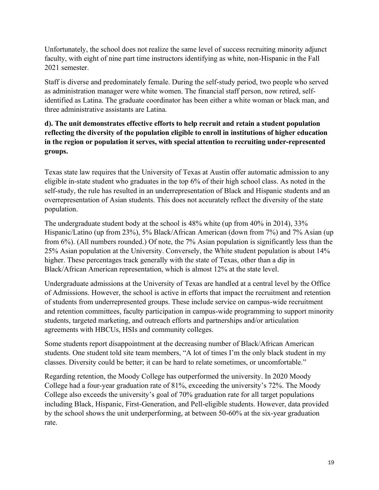Unfortunately, the school does not realize the same level of success recruiting minority adjunct faculty, with eight of nine part time instructors identifying as white, non-Hispanic in the Fall 2021 semester.

Staff is diverse and predominately female. During the self-study period, two people who served as administration manager were white women. The financial staff person, now retired, selfidentified as Latina. The graduate coordinator has been either a white woman or black man, and three administrative assistants are Latina.

# **d). The unit demonstrates effective efforts to help recruit and retain a student population reflecting the diversity of the population eligible to enroll in institutions of higher education in the region or population it serves, with special attention to recruiting under-represented groups.**

Texas state law requires that the University of Texas at Austin offer automatic admission to any eligible in-state student who graduates in the top 6% of their high school class. As noted in the self-study, the rule has resulted in an underrepresentation of Black and Hispanic students and an overrepresentation of Asian students. This does not accurately reflect the diversity of the state population.

The undergraduate student body at the school is 48% white (up from 40% in 2014), 33% Hispanic/Latino (up from 23%), 5% Black/African American (down from 7%) and 7% Asian (up from 6%). (All numbers rounded.) Of note, the 7% Asian population is significantly less than the 25% Asian population at the University. Conversely, the White student population is about 14% higher. These percentages track generally with the state of Texas, other than a dip in Black/African American representation, which is almost 12% at the state level.

Undergraduate admissions at the University of Texas are handled at a central level by the Office of Admissions. However, the school is active in efforts that impact the recruitment and retention of students from underrepresented groups. These include service on campus-wide recruitment and retention committees, faculty participation in campus-wide programming to support minority students, targeted marketing, and outreach efforts and partnerships and/or articulation agreements with HBCUs, HSIs and community colleges.

Some students report disappointment at the decreasing number of Black/African American students. One student told site team members, "A lot of times I'm the only black student in my classes. Diversity could be better; it can be hard to relate sometimes, or uncomfortable."

Regarding retention, the Moody College has outperformed the university. In 2020 Moody College had a four-year graduation rate of 81%, exceeding the university's 72%. The Moody College also exceeds the university's goal of 70% graduation rate for all target populations including Black, Hispanic, First-Generation, and Pell-eligible students. However, data provided by the school shows the unit underperforming, at between 50-60% at the six-year graduation rate.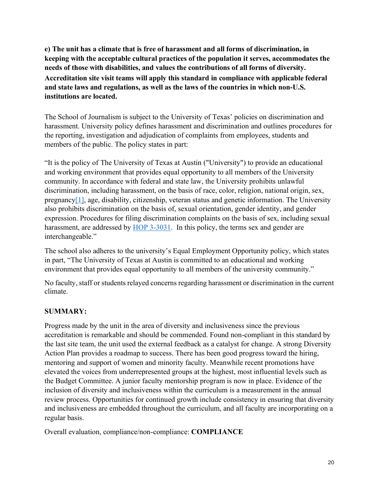**e) The unit has a climate that is free of harassment and all forms of discrimination, in keeping with the acceptable cultural practices of the population it serves, accommodates the needs of those with disabilities, and values the contributions of all forms of diversity. Accreditation site visit teams will apply this standard in compliance with applicable federal and state laws and regulations, as well as the laws of the countries in which non-U.S. institutions are located.**

The School of Journalism is subject to the University of Texas' policies on discrimination and harassment. University policy defines harassment and discrimination and outlines procedures for the reporting, investigation and adjudication of complaints from employees, students and members of the public. The policy states in part:

"It is the policy of The University of Texas at Austin ("University") to provide an educational and working environment that provides equal opportunity to all members of the University community. In accordance with federal and state law, the University prohibits unlawful discrimination, including harassment, on the basis of race, color, religion, national origin, sex, pregnanc[y\[1\],](https://policies.utexas.edu/policies/nondiscrimination-policy#_ftn1) age, disability, citizenship, veteran status and genetic information. The University also prohibits discrimination on the basis of, sexual orientation, gender identity, and gender expression. Procedures for filing discrimination complaints on the basis of sex, including sexual harassment, are addressed by [HOP 3-3031.](http://www.policies.utexas.edu/policies/prohibition-sexual-discrimination-sexual-harassment-sexual-assault-sexual-misconduct) In this policy, the terms sex and gender are interchangeable."

The school also adheres to the university's Equal Employment Opportunity policy, which states in part, "The University of Texas at Austin is committed to an educational and working environment that provides equal opportunity to all members of the university community."

No faculty, staff or students relayed concerns regarding harassment or discrimination in the current climate.

## **SUMMARY:**

Progress made by the unit in the area of diversity and inclusiveness since the previous accreditation is remarkable and should be commended. Found non-compliant in this standard by the last site team, the unit used the external feedback as a catalyst for change. A strong Diversity Action Plan provides a roadmap to success. There has been good progress toward the hiring, mentoring and support of women and minority faculty. Meanwhile recent promotions have elevated the voices from underrepresented groups at the highest, most influential levels such as the Budget Committee. A junior faculty mentorship program is now in place. Evidence of the inclusion of diversity and inclusiveness within the curriculum is a measurement in the annual review process. Opportunities for continued growth include consistency in ensuring that diversity and inclusiveness are embedded throughout the curriculum, and all faculty are incorporating on a regular basis.

Overall evaluation, compliance/non-compliance: **COMPLIANCE**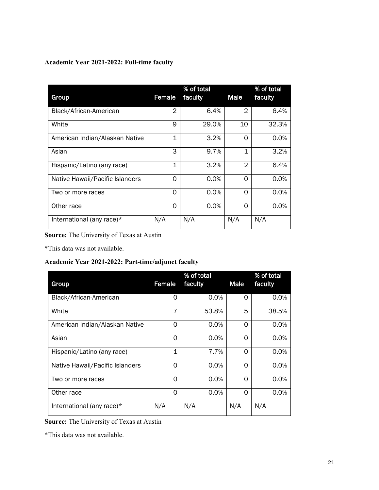## **Academic Year 2021-2022: Full-time faculty**

| Group                           | Female         | % of total<br>faculty | <b>Male</b>    | % of total<br>faculty |
|---------------------------------|----------------|-----------------------|----------------|-----------------------|
| Black/African-American          | $\mathfrak{D}$ | 6.4%                  | $\overline{2}$ | 6.4%                  |
| White                           | 9              | 29.0%                 | 10             | 32.3%                 |
| American Indian/Alaskan Native  | $\mathbf 1$    | 3.2%                  | $\Omega$       | 0.0%                  |
| Asian                           | 3              | 9.7%                  | 1              | 3.2%                  |
| Hispanic/Latino (any race)      | $\mathbf 1$    | 3.2%                  | $\mathfrak{D}$ | 6.4%                  |
| Native Hawaii/Pacific Islanders | Ω              | 0.0%                  | ∩              | 0.0%                  |
| Two or more races               | Ω              | 0.0%                  | 0              | 0.0%                  |
| Other race                      | 0              | 0.0%                  | 0              | 0.0%                  |
| International (any race)*       | N/A            | N/A                   | N/A            | N/A                   |

**Source:** The University of Texas at Austin

\*This data was not available.

### **Academic Year 2021-2022: Part-time/adjunct faculty**

| Group                           | Female   | % of total<br>faculty | Male     | % of total<br>faculty |
|---------------------------------|----------|-----------------------|----------|-----------------------|
| Black/African-American          | Ω        | 0.0%                  | 0        | 0.0%                  |
| White                           | 7        | 53.8%                 | 5        | 38.5%                 |
| American Indian/Alaskan Native  | Ω        | 0.0%                  | 0        | 0.0%                  |
| Asian                           | ∩        | $0.0\%$               | ∩        | 0.0%                  |
| Hispanic/Latino (any race)      | 1        | 7.7%                  | $\Omega$ | 0.0%                  |
| Native Hawaii/Pacific Islanders | ∩        | 0.0%                  | ∩        | 0.0%                  |
| Two or more races               | Ω        | 0.0%                  | 0        | 0.0%                  |
| Other race                      | $\Omega$ | 0.0%                  | ∩        | 0.0%                  |
| International (any race)*       | N/A      | N/A                   | N/A      | N/A                   |

**Source:** The University of Texas at Austin

\*This data was not available.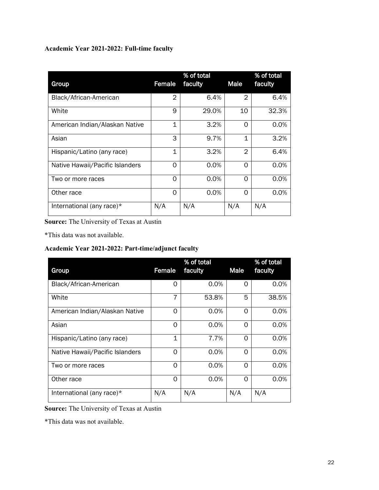## **Academic Year 2021-2022: Full-time faculty**

| Group                           | Female         | % of total<br>faculty | <b>Male</b>    | % of total<br>faculty |
|---------------------------------|----------------|-----------------------|----------------|-----------------------|
| Black/African-American          | $\overline{2}$ | 6.4%                  | $\overline{2}$ | 6.4%                  |
| White                           | 9              | 29.0%                 | 10             | 32.3%                 |
| American Indian/Alaskan Native  | $\mathbf 1$    | 3.2%                  | $\Omega$       | 0.0%                  |
| Asian                           | 3              | 9.7%                  | $\mathbf 1$    | 3.2%                  |
| Hispanic/Latino (any race)      | $\mathbf 1$    | 3.2%                  | $\overline{2}$ | 6.4%                  |
| Native Hawaii/Pacific Islanders | $\Omega$       | 0.0%                  | $\Omega$       | 0.0%                  |
| Two or more races               | O              | 0.0%                  | $\Omega$       | 0.0%                  |
| Other race                      | ∩              | 0.0%                  | $\Omega$       | 0.0%                  |
| International (any race)*       | N/A            | N/A                   | N/A            | N/A                   |

**Source:** The University of Texas at Austin

\*This data was not available.

## **Academic Year 2021-2022: Part-time/adjunct faculty**

| Group                           | Female   | % of total<br>faculty | <b>Male</b> | % of total<br>faculty |
|---------------------------------|----------|-----------------------|-------------|-----------------------|
| Black/African-American          | O        | 0.0%                  | $\Omega$    | 0.0%                  |
| White                           | 7        | 53.8%                 | 5           | 38.5%                 |
| American Indian/Alaskan Native  | 0        | 0.0%                  | $\Omega$    | 0.0%                  |
| Asian                           | $\Omega$ | 0.0%                  | $\Omega$    | 0.0%                  |
| Hispanic/Latino (any race)      | 1        | 7.7%                  | $\Omega$    | 0.0%                  |
| Native Hawaii/Pacific Islanders | O        | 0.0%                  | O           | 0.0%                  |
| Two or more races               | 0        | 0.0%                  | $\Omega$    | 0.0%                  |
| Other race                      | 0        | 0.0%                  | $\Omega$    | $0.0\%$               |
| International (any race)*       | N/A      | N/A                   | N/A         | N/A                   |

**Source:** The University of Texas at Austin

\*This data was not available.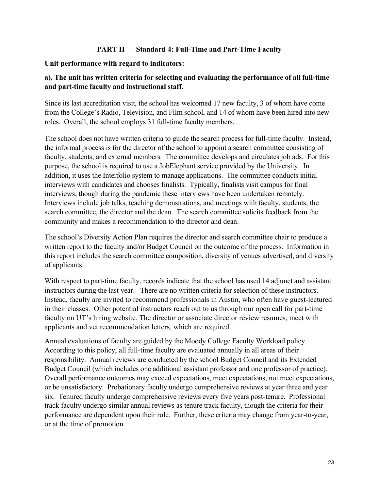### **PART II — Standard 4: Full-Time and Part-Time Faculty**

### **Unit performance with regard to indicators:**

## **a). The unit has written criteria for selecting and evaluating the performance of all full-time and part-time faculty and instructional staff**.

Since its last accreditation visit, the school has welcomed 17 new faculty, 3 of whom have come from the College's Radio, Television, and Film school, and 14 of whom have been hired into new roles. Overall, the school employs 31 full-time faculty members.

The school does not have written criteria to guide the search process for full-time faculty. Instead, the informal process is for the director of the school to appoint a search committee consisting of faculty, students, and external members. The committee develops and circulates job ads. For this purpose, the school is required to use a JobElephant service provided by the University. In addition, it uses the Interfolio system to manage applications. The committee conducts initial interviews with candidates and chooses finalists. Typically, finalists visit campus for final interviews, though during the pandemic these interviews have been undertaken remotely. Interviews include job talks, teaching demonstrations, and meetings with faculty, students, the search committee, the director and the dean. The search committee solicits feedback from the community and makes a recommendation to the director and dean.

The school's Diversity Action Plan requires the director and search committee chair to produce a written report to the faculty and/or Budget Council on the outcome of the process. Information in this report includes the search committee composition, diversity of venues advertised, and diversity of applicants.

With respect to part-time faculty, records indicate that the school has used 14 adjunct and assistant instructors during the last year. There are no written criteria for selection of these instructors. Instead, faculty are invited to recommend professionals in Austin, who often have guest-lectured in their classes. Other potential instructors reach out to us through our open call for part-time faculty on UT's hiring website. The director or associate director review resumes, meet with applicants and vet recommendation letters, which are required.

Annual evaluations of faculty are guided by the Moody College Faculty Workload policy. According to this policy, all full-time faculty are evaluated annually in all areas of their responsibility. Annual reviews are conducted by the school Budget Council and its Extended Budget Council (which includes one additional assistant professor and one professor of practice). Overall performance outcomes may exceed expectations, meet expectations, not meet expectations, or be unsatisfactory. Probationary faculty undergo comprehensive reviews at year three and year six. Tenured faculty undergo comprehensive reviews every five years post-tenure. Professional track faculty undergo similar annual reviews as tenure track faculty, though the criteria for their performance are dependent upon their role. Further, these criteria may change from year-to-year, or at the time of promotion.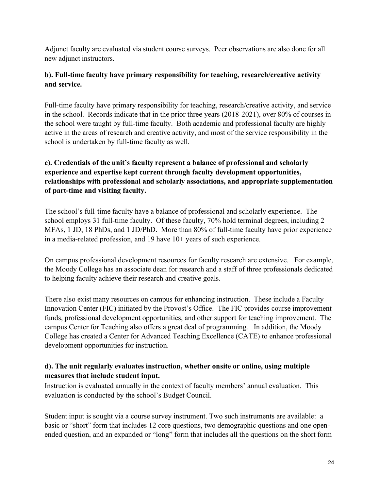Adjunct faculty are evaluated via student course surveys. Peer observations are also done for all new adjunct instructors.

# **b). Full-time faculty have primary responsibility for teaching, research/creative activity and service.**

Full-time faculty have primary responsibility for teaching, research/creative activity, and service in the school. Records indicate that in the prior three years (2018-2021), over 80% of courses in the school were taught by full-time faculty. Both academic and professional faculty are highly active in the areas of research and creative activity, and most of the service responsibility in the school is undertaken by full-time faculty as well.

# **c). Credentials of the unit's faculty represent a balance of professional and scholarly experience and expertise kept current through faculty development opportunities, relationships with professional and scholarly associations, and appropriate supplementation of part-time and visiting faculty.**

The school's full-time faculty have a balance of professional and scholarly experience. The school employs 31 full-time faculty. Of these faculty, 70% hold terminal degrees, including 2 MFAs, 1 JD, 18 PhDs, and 1 JD/PhD. More than 80% of full-time faculty have prior experience in a media-related profession, and 19 have 10+ years of such experience.

On campus professional development resources for faculty research are extensive. For example, the Moody College has an associate dean for research and a staff of three professionals dedicated to helping faculty achieve their research and creative goals.

There also exist many resources on campus for enhancing instruction. These include a Faculty Innovation Center (FIC) initiated by the Provost's Office. The FIC provides course improvement funds, professional development opportunities, and other support for teaching improvement. The campus Center for Teaching also offers a great deal of programming. In addition, the Moody College has created a Center for Advanced Teaching Excellence (CATE) to enhance professional development opportunities for instruction.

## **d). The unit regularly evaluates instruction, whether onsite or online, using multiple measures that include student input.**

Instruction is evaluated annually in the context of faculty members' annual evaluation. This evaluation is conducted by the school's Budget Council.

Student input is sought via a course survey instrument. Two such instruments are available: a basic or "short" form that includes 12 core questions, two demographic questions and one openended question, and an expanded or "long" form that includes all the questions on the short form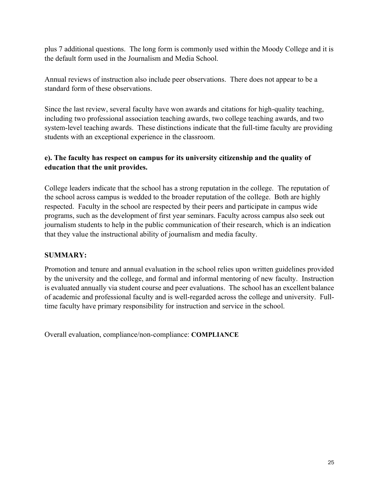plus 7 additional questions. The long form is commonly used within the Moody College and it is the default form used in the Journalism and Media School.

Annual reviews of instruction also include peer observations. There does not appear to be a standard form of these observations.

Since the last review, several faculty have won awards and citations for high-quality teaching, including two professional association teaching awards, two college teaching awards, and two system-level teaching awards. These distinctions indicate that the full-time faculty are providing students with an exceptional experience in the classroom.

# **e). The faculty has respect on campus for its university citizenship and the quality of education that the unit provides.**

College leaders indicate that the school has a strong reputation in the college. The reputation of the school across campus is wedded to the broader reputation of the college. Both are highly respected. Faculty in the school are respected by their peers and participate in campus wide programs, such as the development of first year seminars. Faculty across campus also seek out journalism students to help in the public communication of their research, which is an indication that they value the instructional ability of journalism and media faculty.

## **SUMMARY:**

Promotion and tenure and annual evaluation in the school relies upon written guidelines provided by the university and the college, and formal and informal mentoring of new faculty. Instruction is evaluated annually via student course and peer evaluations. The school has an excellent balance of academic and professional faculty and is well-regarded across the college and university. Fulltime faculty have primary responsibility for instruction and service in the school.

Overall evaluation, compliance/non-compliance: **COMPLIANCE**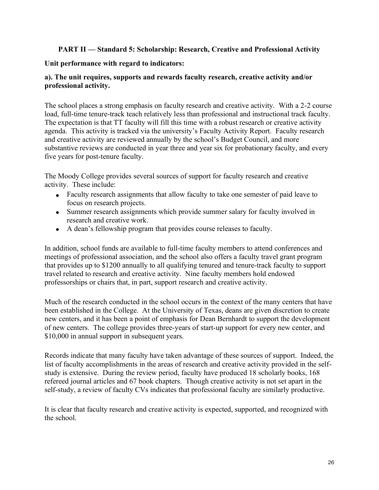## **PART II — Standard 5: Scholarship: Research, Creative and Professional Activity**

### **Unit performance with regard to indicators:**

### **a). The unit requires, supports and rewards faculty research, creative activity and/or professional activity.**

The school places a strong emphasis on faculty research and creative activity. With a 2-2 course load, full-time tenure-track teach relatively less than professional and instructional track faculty. The expectation is that TT faculty will fill this time with a robust research or creative activity agenda. This activity is tracked via the university's Faculty Activity Report. Faculty research and creative activity are reviewed annually by the school's Budget Council, and more substantive reviews are conducted in year three and year six for probationary faculty, and every five years for post-tenure faculty.

The Moody College provides several sources of support for faculty research and creative activity. These include:

- Faculty research assignments that allow faculty to take one semester of paid leave to focus on research projects.
- Summer research assignments which provide summer salary for faculty involved in research and creative work.
- A dean's fellowship program that provides course releases to faculty.

In addition, school funds are available to full-time faculty members to attend conferences and meetings of professional association, and the school also offers a faculty travel grant program that provides up to \$1200 annually to all qualifying tenured and tenure-track faculty to support travel related to research and creative activity. Nine faculty members hold endowed professorships or chairs that, in part, support research and creative activity.

Much of the research conducted in the school occurs in the context of the many centers that have been established in the College. At the University of Texas, deans are given discretion to create new centers, and it has been a point of emphasis for Dean Bernhardt to support the development of new centers. The college provides three-years of start-up support for every new center, and \$10,000 in annual support in subsequent years.

Records indicate that many faculty have taken advantage of these sources of support. Indeed, the list of faculty accomplishments in the areas of research and creative activity provided in the selfstudy is extensive. During the review period, faculty have produced 18 scholarly books, 168 refereed journal articles and 67 book chapters. Though creative activity is not set apart in the self-study, a review of faculty CVs indicates that professional faculty are similarly productive.

It is clear that faculty research and creative activity is expected, supported, and recognized with the school.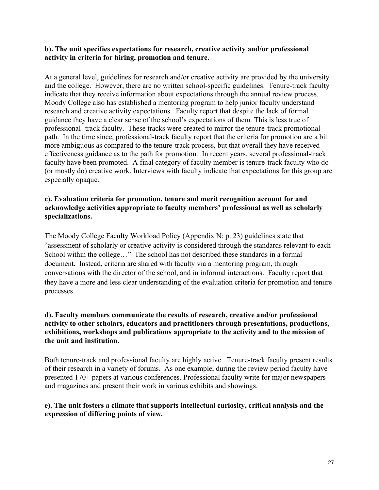### **b). The unit specifies expectations for research, creative activity and/or professional activity in criteria for hiring, promotion and tenure.**

At a general level, guidelines for research and/or creative activity are provided by the university and the college. However, there are no written school-specific guidelines. Tenure-track faculty indicate that they receive information about expectations through the annual review process. Moody College also has established a mentoring program to help junior faculty understand research and creative activity expectations. Faculty report that despite the lack of formal guidance they have a clear sense of the school's expectations of them. This is less true of professional- track faculty. These tracks were created to mirror the tenure-track promotional path. In the time since, professional-track faculty report that the criteria for promotion are a bit more ambiguous as compared to the tenure-track process, but that overall they have received effectiveness guidance as to the path for promotion. In recent years, several professional-track faculty have been promoted. A final category of faculty member is tenure-track faculty who do (or mostly do) creative work. Interviews with faculty indicate that expectations for this group are especially opaque.

## **c). Evaluation criteria for promotion, tenure and merit recognition account for and acknowledge activities appropriate to faculty members' professional as well as scholarly specializations.**

The Moody College Faculty Workload Policy (Appendix N: p. 23) guidelines state that "assessment of scholarly or creative activity is considered through the standards relevant to each School within the college…" The school has not described these standards in a formal document. Instead, criteria are shared with faculty via a mentoring program, through conversations with the director of the school, and in informal interactions. Faculty report that they have a more and less clear understanding of the evaluation criteria for promotion and tenure processes.

### **d). Faculty members communicate the results of research, creative and/or professional activity to other scholars, educators and practitioners through presentations, productions, exhibitions, workshops and publications appropriate to the activity and to the mission of the unit and institution.**

Both tenure-track and professional faculty are highly active. Tenure-track faculty present results of their research in a variety of forums. As one example, during the review period faculty have presented 170+ papers at various conferences. Professional faculty write for major newspapers and magazines and present their work in various exhibits and showings.

## **e). The unit fosters a climate that supports intellectual curiosity, critical analysis and the expression of differing points of view.**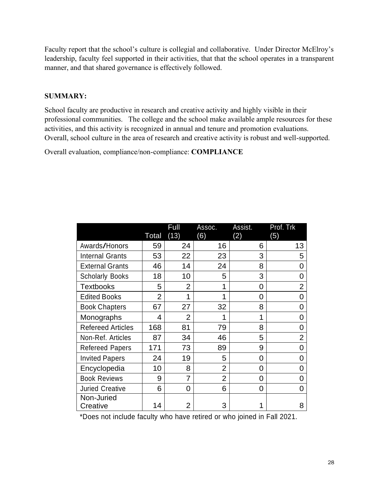Faculty report that the school's culture is collegial and collaborative. Under Director McElroy's leadership, faculty feel supported in their activities, that that the school operates in a transparent manner, and that shared governance is effectively followed.

## **SUMMARY:**

School faculty are productive in research and creative activity and highly visible in their professional communities. The college and the school make available ample resources for these activities, and this activity is recognized in annual and tenure and promotion evaluations. Overall, school culture in the area of research and creative activity is robust and well-supported.

Overall evaluation, compliance/non-compliance: **COMPLIANCE**

|                          |                | Full           | Assoc.         | Assist. | Prof. Trk      |
|--------------------------|----------------|----------------|----------------|---------|----------------|
|                          | <b>Total</b>   | (13)           | (6)            | (2)     | (5)            |
| Awards/Honors            | 59             | 24             | 16             | 6       | 13             |
| <b>Internal Grants</b>   | 53             | 22             | 23             | 3       | 5              |
| <b>External Grants</b>   | 46             | 14             | 24             | 8       | O              |
| <b>Scholarly Books</b>   | 18             | 10             | 5              | 3       | 0              |
| <b>Textbooks</b>         | 5              | $\overline{2}$ | 1              | 0       | $\overline{2}$ |
| <b>Edited Books</b>      | $\overline{2}$ | 1              | 1              | 0       | O              |
| <b>Book Chapters</b>     | 67             | 27             | 32             | 8       | O              |
| Monographs               | 4              | $\overline{2}$ | 1              | 1       | O              |
| <b>Refereed Articles</b> | 168            | 81             | 79             | 8       | 0              |
| Non-Ref. Articles        | 87             | 34             | 46             | 5       | $\overline{2}$ |
| <b>Refereed Papers</b>   | 171            | 73             | 89             | 9       | 0              |
| <b>Invited Papers</b>    | 24             | 19             | 5              | 0       | 0              |
| Encyclopedia             | 10             | 8              | $\overline{2}$ | 0       | O              |
| <b>Book Reviews</b>      | 9              | 7              | $\overline{2}$ | 0       | O              |
| <b>Juried Creative</b>   | 6              | 0              | 6              | 0       | O              |
| Non-Juried<br>Creative   | 14             | $\overline{2}$ | 3              |         | 8              |

\*Does not include faculty who have retired or who joined in Fall 2021.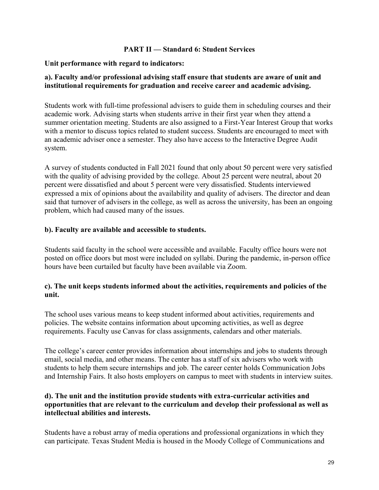### **PART II — Standard 6: Student Services**

### **Unit performance with regard to indicators:**

### **a). Faculty and/or professional advising staff ensure that students are aware of unit and institutional requirements for graduation and receive career and academic advising.**

Students work with full-time professional advisers to guide them in scheduling courses and their academic work. Advising starts when students arrive in their first year when they attend a summer orientation meeting. Students are also assigned to a First-Year Interest Group that works with a mentor to discuss topics related to student success. Students are encouraged to meet with an academic adviser once a semester. They also have access to the Interactive Degree Audit system.

A survey of students conducted in Fall 2021 found that only about 50 percent were very satisfied with the quality of advising provided by the college. About 25 percent were neutral, about 20 percent were dissatisfied and about 5 percent were very dissatisfied. Students interviewed expressed a mix of opinions about the availability and quality of advisers. The director and dean said that turnover of advisers in the college, as well as across the university, has been an ongoing problem, which had caused many of the issues.

## **b). Faculty are available and accessible to students.**

Students said faculty in the school were accessible and available. Faculty office hours were not posted on office doors but most were included on syllabi. During the pandemic, in-person office hours have been curtailed but faculty have been available via Zoom.

### **c). The unit keeps students informed about the activities, requirements and policies of the unit.**

The school uses various means to keep student informed about activities, requirements and policies. The website contains information about upcoming activities, as well as degree requirements. Faculty use Canvas for class assignments, calendars and other materials.

The college's career center provides information about internships and jobs to students through email, social media, and other means. The center has a staff of six advisers who work with students to help them secure internships and job. The career center holds Communication Jobs and Internship Fairs. It also hosts employers on campus to meet with students in interview suites.

### **d). The unit and the institution provide students with extra-curricular activities and opportunities that are relevant to the curriculum and develop their professional as well as intellectual abilities and interests.**

Students have a robust array of media operations and professional organizations in which they can participate. Texas Student Media is housed in the Moody College of Communications and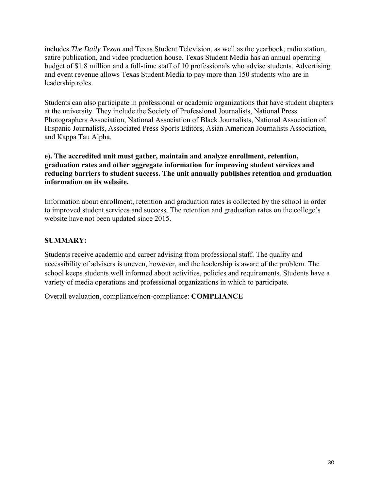includes *The Daily Texan* and Texas Student Television, as well as the yearbook, radio station, satire publication, and video production house. Texas Student Media has an annual operating budget of \$1.8 million and a full-time staff of 10 professionals who advise students. Advertising and event revenue allows Texas Student Media to pay more than 150 students who are in leadership roles.

Students can also participate in professional or academic organizations that have student chapters at the university. They include the Society of Professional Journalists, National Press Photographers Association, National Association of Black Journalists, National Association of Hispanic Journalists, Associated Press Sports Editors, Asian American Journalists Association, and Kappa Tau Alpha.

### **e). The accredited unit must gather, maintain and analyze enrollment, retention, graduation rates and other aggregate information for improving student services and reducing barriers to student success. The unit annually publishes retention and graduation information on its website.**

Information about enrollment, retention and graduation rates is collected by the school in order to improved student services and success. The retention and graduation rates on the college's website have not been updated since 2015.

## **SUMMARY:**

Students receive academic and career advising from professional staff. The quality and accessibility of advisers is uneven, however, and the leadership is aware of the problem. The school keeps students well informed about activities, policies and requirements. Students have a variety of media operations and professional organizations in which to participate.

Overall evaluation, compliance/non-compliance: **COMPLIANCE**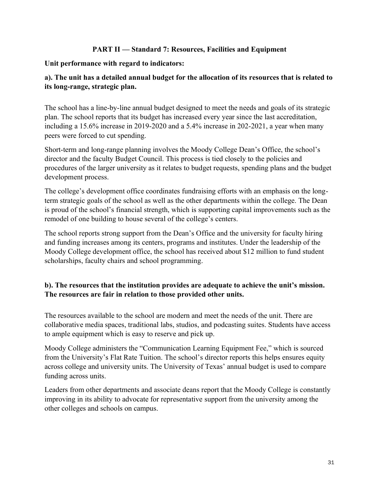## **PART II — Standard 7: Resources, Facilities and Equipment**

## **Unit performance with regard to indicators:**

# **a). The unit has a detailed annual budget for the allocation of its resources that is related to its long-range, strategic plan.**

The school has a line-by-line annual budget designed to meet the needs and goals of its strategic plan. The school reports that its budget has increased every year since the last accreditation, including a 15.6% increase in 2019-2020 and a 5.4% increase in 202-2021, a year when many peers were forced to cut spending.

Short-term and long-range planning involves the Moody College Dean's Office, the school's director and the faculty Budget Council. This process is tied closely to the policies and procedures of the larger university as it relates to budget requests, spending plans and the budget development process.

The college's development office coordinates fundraising efforts with an emphasis on the longterm strategic goals of the school as well as the other departments within the college. The Dean is proud of the school's financial strength, which is supporting capital improvements such as the remodel of one building to house several of the college's centers.

The school reports strong support from the Dean's Office and the university for faculty hiring and funding increases among its centers, programs and institutes. Under the leadership of the Moody College development office, the school has received about \$12 million to fund student scholarships, faculty chairs and school programming.

## **b). The resources that the institution provides are adequate to achieve the unit's mission. The resources are fair in relation to those provided other units.**

The resources available to the school are modern and meet the needs of the unit. There are collaborative media spaces, traditional labs, studios, and podcasting suites. Students have access to ample equipment which is easy to reserve and pick up.

Moody College administers the "Communication Learning Equipment Fee," which is sourced from the University's Flat Rate Tuition. The school's director reports this helps ensures equity across college and university units. The University of Texas' annual budget is used to compare funding across units.

Leaders from other departments and associate deans report that the Moody College is constantly improving in its ability to advocate for representative support from the university among the other colleges and schools on campus.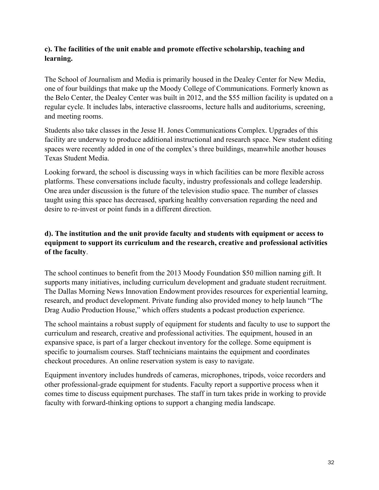## **c). The facilities of the unit enable and promote effective scholarship, teaching and learning.**

The School of Journalism and Media is primarily housed in the Dealey Center for New Media, one of four buildings that make up the Moody College of Communications. Formerly known as the Belo Center, the Dealey Center was built in 2012, and the \$55 million facility is updated on a regular cycle. It includes labs, interactive classrooms, lecture halls and auditoriums, screening, and meeting rooms.

Students also take classes in the Jesse H. Jones Communications Complex. Upgrades of this facility are underway to produce additional instructional and research space. New student editing spaces were recently added in one of the complex's three buildings, meanwhile another houses Texas Student Media.

Looking forward, the school is discussing ways in which facilities can be more flexible across platforms. These conversations include faculty, industry professionals and college leadership. One area under discussion is the future of the television studio space. The number of classes taught using this space has decreased, sparking healthy conversation regarding the need and desire to re-invest or point funds in a different direction.

## **d). The institution and the unit provide faculty and students with equipment or access to equipment to support its curriculum and the research, creative and professional activities of the faculty**.

The school continues to benefit from the 2013 Moody Foundation \$50 million naming gift. It supports many initiatives, including curriculum development and graduate student recruitment. The Dallas Morning News Innovation Endowment provides resources for experiential learning, research, and product development. Private funding also provided money to help launch "The Drag Audio Production House," which offers students a podcast production experience.

The school maintains a robust supply of equipment for students and faculty to use to support the curriculum and research, creative and professional activities. The equipment, housed in an expansive space, is part of a larger checkout inventory for the college. Some equipment is specific to journalism courses. Staff technicians maintains the equipment and coordinates checkout procedures. An online reservation system is easy to navigate.

Equipment inventory includes hundreds of cameras, microphones, tripods, voice recorders and other professional-grade equipment for students. Faculty report a supportive process when it comes time to discuss equipment purchases. The staff in turn takes pride in working to provide faculty with forward-thinking options to support a changing media landscape.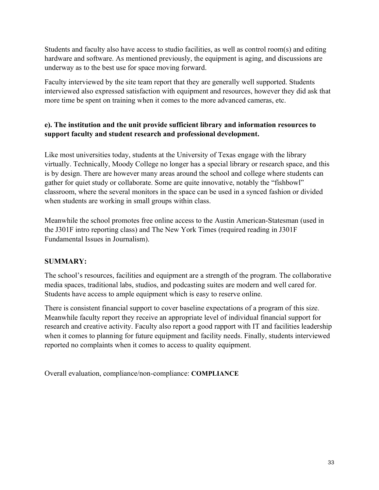Students and faculty also have access to studio facilities, as well as control room(s) and editing hardware and software. As mentioned previously, the equipment is aging, and discussions are underway as to the best use for space moving forward.

Faculty interviewed by the site team report that they are generally well supported. Students interviewed also expressed satisfaction with equipment and resources, however they did ask that more time be spent on training when it comes to the more advanced cameras, etc.

# **e). The institution and the unit provide sufficient library and information resources to support faculty and student research and professional development.**

Like most universities today, students at the University of Texas engage with the library virtually. Technically, Moody College no longer has a special library or research space, and this is by design. There are however many areas around the school and college where students can gather for quiet study or collaborate. Some are quite innovative, notably the "fishbowl" classroom, where the several monitors in the space can be used in a synced fashion or divided when students are working in small groups within class.

Meanwhile the school promotes free online access to the Austin American-Statesman (used in the J301F intro reporting class) and The New York Times (required reading in J301F Fundamental Issues in Journalism).

## **SUMMARY:**

The school's resources, facilities and equipment are a strength of the program. The collaborative media spaces, traditional labs, studios, and podcasting suites are modern and well cared for. Students have access to ample equipment which is easy to reserve online.

There is consistent financial support to cover baseline expectations of a program of this size. Meanwhile faculty report they receive an appropriate level of individual financial support for research and creative activity. Faculty also report a good rapport with IT and facilities leadership when it comes to planning for future equipment and facility needs. Finally, students interviewed reported no complaints when it comes to access to quality equipment.

Overall evaluation, compliance/non-compliance: **COMPLIANCE**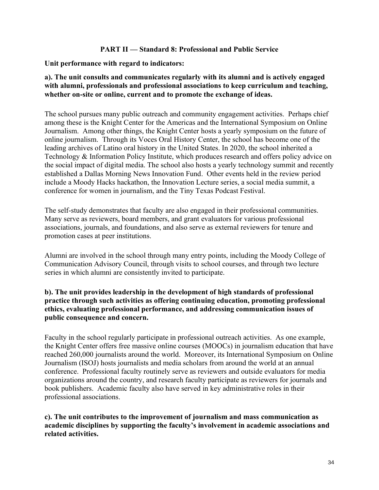### **PART II — Standard 8: Professional and Public Service**

### **Unit performance with regard to indicators:**

### **a). The unit consults and communicates regularly with its alumni and is actively engaged with alumni, professionals and professional associations to keep curriculum and teaching, whether on-site or online, current and to promote the exchange of ideas.**

The school pursues many public outreach and community engagement activities. Perhaps chief among these is the Knight Center for the Americas and the International Symposium on Online Journalism. Among other things, the Knight Center hosts a yearly symposium on the future of online journalism. Through its Voces Oral History Center, the school has become one of the leading archives of Latino oral history in the United States. In 2020, the school inherited a Technology & Information Policy Institute, which produces research and offers policy advice on the social impact of digital media. The school also hosts a yearly technology summit and recently established a Dallas Morning News Innovation Fund. Other events held in the review period include a Moody Hacks hackathon, the Innovation Lecture series, a social media summit, a conference for women in journalism, and the Tiny Texas Podcast Festival.

The self-study demonstrates that faculty are also engaged in their professional communities. Many serve as reviewers, board members, and grant evaluators for various professional associations, journals, and foundations, and also serve as external reviewers for tenure and promotion cases at peer institutions.

Alumni are involved in the school through many entry points, including the Moody College of Communication Advisory Council, through visits to school courses, and through two lecture series in which alumni are consistently invited to participate.

## **b). The unit provides leadership in the development of high standards of professional practice through such activities as offering continuing education, promoting professional ethics, evaluating professional performance, and addressing communication issues of public consequence and concern.**

Faculty in the school regularly participate in professional outreach activities. As one example, the Knight Center offers free massive online courses (MOOCs) in journalism education that have reached 260,000 journalists around the world. Moreover, its International Symposium on Online Journalism (ISOJ) hosts journalists and media scholars from around the world at an annual conference. Professional faculty routinely serve as reviewers and outside evaluators for media organizations around the country, and research faculty participate as reviewers for journals and book publishers. Academic faculty also have served in key administrative roles in their professional associations.

**c). The unit contributes to the improvement of journalism and mass communication as academic disciplines by supporting the faculty's involvement in academic associations and related activities.**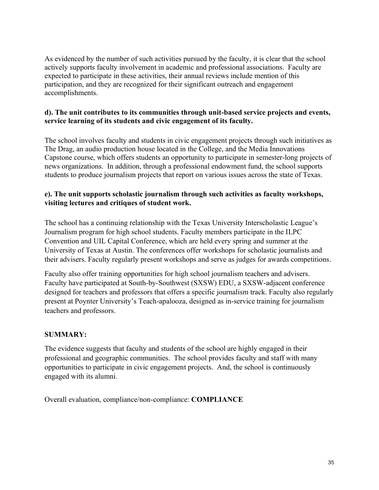As evidenced by the number of such activities pursued by the faculty, it is clear that the school actively supports faculty involvement in academic and professional associations. Faculty are expected to participate in these activities, their annual reviews include mention of this participation, and they are recognized for their significant outreach and engagement accomplishments.

## **d). The unit contributes to its communities through unit-based service projects and events, service learning of its students and civic engagement of its faculty.**

The school involves faculty and students in civic engagement projects through such initiatives as The Drag, an audio production house located in the College, and the Media Innovations Capstone course, which offers students an opportunity to participate in semester-long projects of news organizations. In addition, through a professional endowment fund, the school supports students to produce journalism projects that report on various issues across the state of Texas.

## **e). The unit supports scholastic journalism through such activities as faculty workshops, visiting lectures and critiques of student work.**

The school has a continuing relationship with the Texas University Interscholastic League's Journalism program for high school students. Faculty members participate in the ILPC Convention and UIL Capital Conference, which are held every spring and summer at the University of Texas at Austin. The conferences offer workshops for scholastic journalists and their advisers. Faculty regularly present workshops and serve as judges for awards competitions.

Faculty also offer training opportunities for high school journalism teachers and advisers. Faculty have participated at South-by-Southwest (SXSW) EDU, a SXSW-adjacent conference designed for teachers and professors that offers a specific journalism track. Faculty also regularly present at Poynter University's Teach-apalooza, designed as in-service training for journalism teachers and professors.

## **SUMMARY:**

The evidence suggests that faculty and students of the school are highly engaged in their professional and geographic communities. The school provides faculty and staff with many opportunities to participate in civic engagement projects. And, the school is continuously engaged with its alumni.

Overall evaluation, compliance/non-compliance: **COMPLIANCE**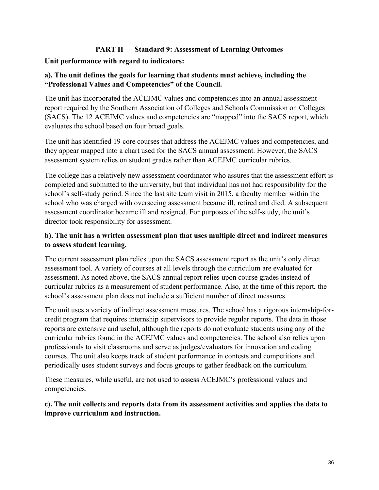## **PART II — Standard 9: Assessment of Learning Outcomes**

### **Unit performance with regard to indicators:**

## **a). The unit defines the goals for learning that students must achieve, including the "Professional Values and Competencies" of the Council.**

The unit has incorporated the ACEJMC values and competencies into an annual assessment report required by the Southern Association of Colleges and Schools Commission on Colleges (SACS). The 12 ACEJMC values and competencies are "mapped" into the SACS report, which evaluates the school based on four broad goals.

The unit has identified 19 core courses that address the ACEJMC values and competencies, and they appear mapped into a chart used for the SACS annual assessment. However, the SACS assessment system relies on student grades rather than ACEJMC curricular rubrics.

The college has a relatively new assessment coordinator who assures that the assessment effort is completed and submitted to the university, but that individual has not had responsibility for the school's self-study period. Since the last site team visit in 2015, a faculty member within the school who was charged with overseeing assessment became ill, retired and died. A subsequent assessment coordinator became ill and resigned. For purposes of the self-study, the unit's director took responsibility for assessment.

## **b). The unit has a written assessment plan that uses multiple direct and indirect measures to assess student learning.**

The current assessment plan relies upon the SACS assessment report as the unit's only direct assessment tool. A variety of courses at all levels through the curriculum are evaluated for assessment. As noted above, the SACS annual report relies upon course grades instead of curricular rubrics as a measurement of student performance. Also, at the time of this report, the school's assessment plan does not include a sufficient number of direct measures.

The unit uses a variety of indirect assessment measures. The school has a rigorous internship-forcredit program that requires internship supervisors to provide regular reports. The data in those reports are extensive and useful, although the reports do not evaluate students using any of the curricular rubrics found in the ACEJMC values and competencies. The school also relies upon professionals to visit classrooms and serve as judges/evaluators for innovation and coding courses. The unit also keeps track of student performance in contests and competitions and periodically uses student surveys and focus groups to gather feedback on the curriculum.

These measures, while useful, are not used to assess ACEJMC's professional values and competencies.

## **c). The unit collects and reports data from its assessment activities and applies the data to improve curriculum and instruction.**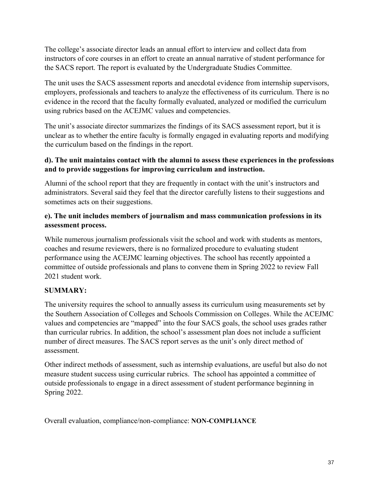The college's associate director leads an annual effort to interview and collect data from instructors of core courses in an effort to create an annual narrative of student performance for the SACS report. The report is evaluated by the Undergraduate Studies Committee.

The unit uses the SACS assessment reports and anecdotal evidence from internship supervisors, employers, professionals and teachers to analyze the effectiveness of its curriculum. There is no evidence in the record that the faculty formally evaluated, analyzed or modified the curriculum using rubrics based on the ACEJMC values and competencies.

The unit's associate director summarizes the findings of its SACS assessment report, but it is unclear as to whether the entire faculty is formally engaged in evaluating reports and modifying the curriculum based on the findings in the report.

## **d). The unit maintains contact with the alumni to assess these experiences in the professions and to provide suggestions for improving curriculum and instruction.**

Alumni of the school report that they are frequently in contact with the unit's instructors and administrators. Several said they feel that the director carefully listens to their suggestions and sometimes acts on their suggestions.

## **e). The unit includes members of journalism and mass communication professions in its assessment process.**

While numerous journalism professionals visit the school and work with students as mentors, coaches and resume reviewers, there is no formalized procedure to evaluating student performance using the ACEJMC learning objectives. The school has recently appointed a committee of outside professionals and plans to convene them in Spring 2022 to review Fall 2021 student work.

# **SUMMARY:**

The university requires the school to annually assess its curriculum using measurements set by the Southern Association of Colleges and Schools Commission on Colleges. While the ACEJMC values and competencies are "mapped" into the four SACS goals, the school uses grades rather than curricular rubrics. In addition, the school's assessment plan does not include a sufficient number of direct measures. The SACS report serves as the unit's only direct method of assessment.

Other indirect methods of assessment, such as internship evaluations, are useful but also do not measure student success using curricular rubrics. The school has appointed a committee of outside professionals to engage in a direct assessment of student performance beginning in Spring 2022.

Overall evaluation, compliance/non-compliance: **NON-COMPLIANCE**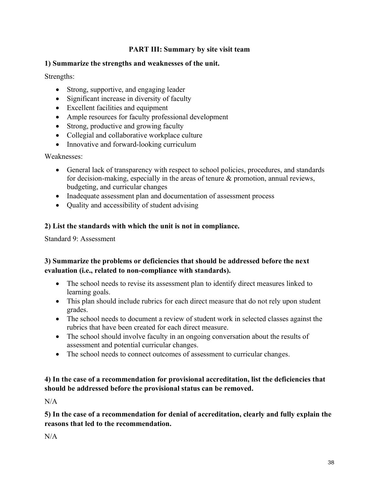## **PART III: Summary by site visit team**

## **1) Summarize the strengths and weaknesses of the unit.**

Strengths:

- Strong, supportive, and engaging leader
- Significant increase in diversity of faculty
- Excellent facilities and equipment
- Ample resources for faculty professional development
- Strong, productive and growing faculty
- Collegial and collaborative workplace culture
- Innovative and forward-looking curriculum

Weaknesses:

- General lack of transparency with respect to school policies, procedures, and standards for decision-making, especially in the areas of tenure & promotion, annual reviews, budgeting, and curricular changes
- Inadequate assessment plan and documentation of assessment process
- Quality and accessibility of student advising

# **2) List the standards with which the unit is not in compliance.**

Standard 9: Assessment

## **3) Summarize the problems or deficiencies that should be addressed before the next evaluation (i.e., related to non-compliance with standards).**

- The school needs to revise its assessment plan to identify direct measures linked to learning goals.
- This plan should include rubrics for each direct measure that do not rely upon student grades.
- The school needs to document a review of student work in selected classes against the rubrics that have been created for each direct measure.
- The school should involve faculty in an ongoing conversation about the results of assessment and potential curricular changes.
- The school needs to connect outcomes of assessment to curricular changes.

## **4) In the case of a recommendation for provisional accreditation, list the deficiencies that should be addressed before the provisional status can be removed.**

N/A

**5) In the case of a recommendation for denial of accreditation, clearly and fully explain the reasons that led to the recommendation.**

 $N/A$